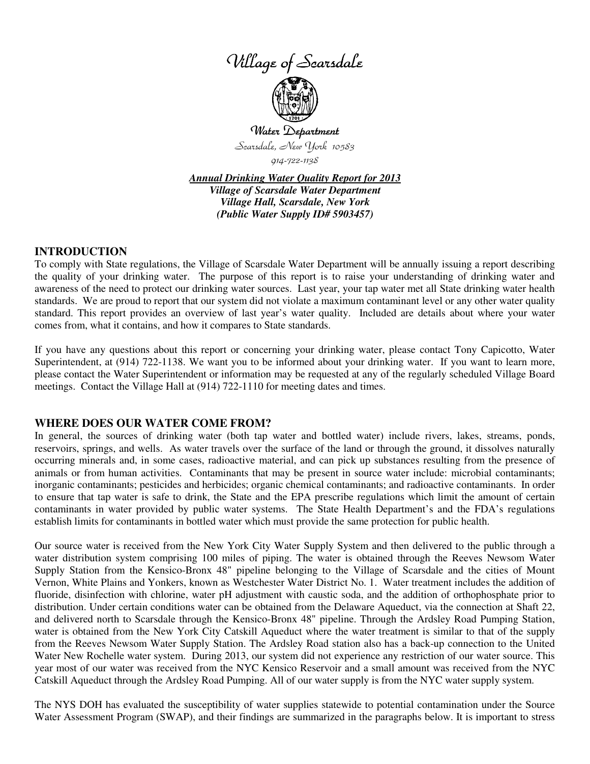



Scarsdale, New York 10583

914-722-1138

*Annual Drinking Water Quality Report for 2013 Village of Scarsdale Water Department Village Hall, Scarsdale, New York (Public Water Supply ID# 5903457)*

## **INTRODUCTION**

To comply with State regulations, the Village of Scarsdale Water Department will be annually issuing a report describing the quality of your drinking water. The purpose of this report is to raise your understanding of drinking water and awareness of the need to protect our drinking water sources. Last year, your tap water met all State drinking water health standards. We are proud to report that our system did not violate a maximum contaminant level or any other water quality standard. This report provides an overview of last year's water quality. Included are details about where your water comes from, what it contains, and how it compares to State standards.

If you have any questions about this report or concerning your drinking water, please contact Tony Capicotto, Water Superintendent, at (914) 722-1138. We want you to be informed about your drinking water. If you want to learn more, please contact the Water Superintendent or information may be requested at any of the regularly scheduled Village Board meetings. Contact the Village Hall at (914) 722-1110 for meeting dates and times.

### **WHERE DOES OUR WATER COME FROM?**

In general, the sources of drinking water (both tap water and bottled water) include rivers, lakes, streams, ponds, reservoirs, springs, and wells. As water travels over the surface of the land or through the ground, it dissolves naturally occurring minerals and, in some cases, radioactive material, and can pick up substances resulting from the presence of animals or from human activities. Contaminants that may be present in source water include: microbial contaminants; inorganic contaminants; pesticides and herbicides; organic chemical contaminants; and radioactive contaminants. In order to ensure that tap water is safe to drink, the State and the EPA prescribe regulations which limit the amount of certain contaminants in water provided by public water systems. The State Health Department's and the FDA's regulations establish limits for contaminants in bottled water which must provide the same protection for public health.

Our source water is received from the New York City Water Supply System and then delivered to the public through a water distribution system comprising 100 miles of piping. The water is obtained through the Reeves Newsom Water Supply Station from the Kensico-Bronx 48" pipeline belonging to the Village of Scarsdale and the cities of Mount Vernon, White Plains and Yonkers, known as Westchester Water District No. 1. Water treatment includes the addition of fluoride, disinfection with chlorine, water pH adjustment with caustic soda, and the addition of orthophosphate prior to distribution. Under certain conditions water can be obtained from the Delaware Aqueduct, via the connection at Shaft 22, and delivered north to Scarsdale through the Kensico-Bronx 48" pipeline. Through the Ardsley Road Pumping Station, water is obtained from the New York City Catskill Aqueduct where the water treatment is similar to that of the supply from the Reeves Newsom Water Supply Station. The Ardsley Road station also has a back-up connection to the United Water New Rochelle water system. During 2013, our system did not experience any restriction of our water source. This year most of our water was received from the NYC Kensico Reservoir and a small amount was received from the NYC Catskill Aqueduct through the Ardsley Road Pumping. All of our water supply is from the NYC water supply system.

The NYS DOH has evaluated the susceptibility of water supplies statewide to potential contamination under the Source Water Assessment Program (SWAP), and their findings are summarized in the paragraphs below. It is important to stress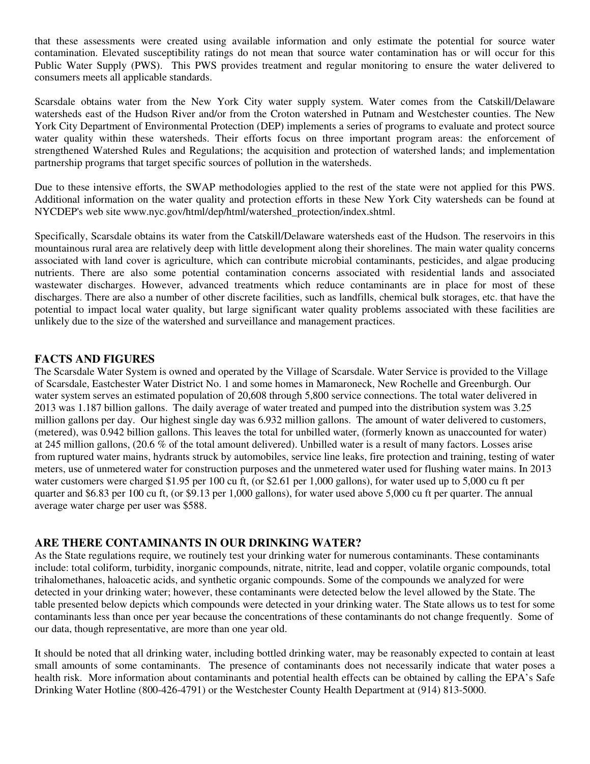that these assessments were created using available information and only estimate the potential for source water contamination. Elevated susceptibility ratings do not mean that source water contamination has or will occur for this Public Water Supply (PWS). This PWS provides treatment and regular monitoring to ensure the water delivered to consumers meets all applicable standards.

Scarsdale obtains water from the New York City water supply system. Water comes from the Catskill/Delaware watersheds east of the Hudson River and/or from the Croton watershed in Putnam and Westchester counties. The New York City Department of Environmental Protection (DEP) implements a series of programs to evaluate and protect source water quality within these watersheds. Their efforts focus on three important program areas: the enforcement of strengthened Watershed Rules and Regulations; the acquisition and protection of watershed lands; and implementation partnership programs that target specific sources of pollution in the watersheds.

Due to these intensive efforts, the SWAP methodologies applied to the rest of the state were not applied for this PWS. Additional information on the water quality and protection efforts in these New York City watersheds can be found at NYCDEP's web site www.nyc.gov/html/dep/html/watershed\_protection/index.shtml.

Specifically, Scarsdale obtains its water from the Catskill/Delaware watersheds east of the Hudson. The reservoirs in this mountainous rural area are relatively deep with little development along their shorelines. The main water quality concerns associated with land cover is agriculture, which can contribute microbial contaminants, pesticides, and algae producing nutrients. There are also some potential contamination concerns associated with residential lands and associated wastewater discharges. However, advanced treatments which reduce contaminants are in place for most of these discharges. There are also a number of other discrete facilities, such as landfills, chemical bulk storages, etc. that have the potential to impact local water quality, but large significant water quality problems associated with these facilities are unlikely due to the size of the watershed and surveillance and management practices.

# **FACTS AND FIGURES**

The Scarsdale Water System is owned and operated by the Village of Scarsdale. Water Service is provided to the Village of Scarsdale, Eastchester Water District No. 1 and some homes in Mamaroneck, New Rochelle and Greenburgh. Our water system serves an estimated population of 20,608 through 5,800 service connections. The total water delivered in 2013 was 1.187 billion gallons. The daily average of water treated and pumped into the distribution system was 3.25 million gallons per day. Our highest single day was 6.932 million gallons. The amount of water delivered to customers, (metered), was 0.942 billion gallons. This leaves the total for unbilled water, (formerly known as unaccounted for water) at 245 million gallons, (20.6 % of the total amount delivered). Unbilled water is a result of many factors. Losses arise from ruptured water mains, hydrants struck by automobiles, service line leaks, fire protection and training, testing of water meters, use of unmetered water for construction purposes and the unmetered water used for flushing water mains. In 2013 water customers were charged \$1.95 per 100 cu ft, (or \$2.61 per 1,000 gallons), for water used up to 5,000 cu ft per quarter and \$6.83 per 100 cu ft, (or \$9.13 per 1,000 gallons), for water used above 5,000 cu ft per quarter. The annual average water charge per user was \$588.

## **ARE THERE CONTAMINANTS IN OUR DRINKING WATER?**

As the State regulations require, we routinely test your drinking water for numerous contaminants. These contaminants include: total coliform, turbidity, inorganic compounds, nitrate, nitrite, lead and copper, volatile organic compounds, total trihalomethanes, haloacetic acids, and synthetic organic compounds. Some of the compounds we analyzed for were detected in your drinking water; however, these contaminants were detected below the level allowed by the State. The table presented below depicts which compounds were detected in your drinking water. The State allows us to test for some contaminants less than once per year because the concentrations of these contaminants do not change frequently. Some of our data, though representative, are more than one year old.

It should be noted that all drinking water, including bottled drinking water, may be reasonably expected to contain at least small amounts of some contaminants. The presence of contaminants does not necessarily indicate that water poses a health risk. More information about contaminants and potential health effects can be obtained by calling the EPA's Safe Drinking Water Hotline (800-426-4791) or the Westchester County Health Department at (914) 813-5000.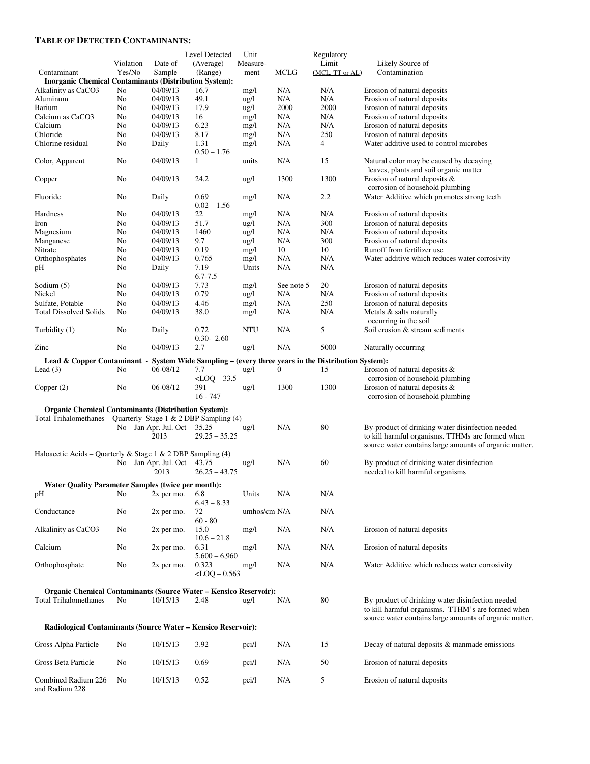#### **TABLE OF DETECTED CONTAMINANTS:**

|                                                                                                                         |           |                            | Level Detected             | Unit            |             | Regulatory      |                                                                                                            |
|-------------------------------------------------------------------------------------------------------------------------|-----------|----------------------------|----------------------------|-----------------|-------------|-----------------|------------------------------------------------------------------------------------------------------------|
|                                                                                                                         | Violation | Date of                    | (Average)                  | Measure-        |             | Limit           | Likely Source of                                                                                           |
| Contaminant                                                                                                             | Yes/No    | Sample                     | (Range)                    | ment            | <b>MCLG</b> | (MCL, TT or AL) | Contamination                                                                                              |
| <b>Inorganic Chemical Contaminants (Distribution System):</b>                                                           |           |                            |                            |                 |             |                 |                                                                                                            |
| Alkalinity as CaCO3                                                                                                     | No        | 04/09/13                   | 16.7                       | mg/l            | N/A         | N/A             | Erosion of natural deposits                                                                                |
| Aluminum                                                                                                                | No        | 04/09/13                   | 49.1                       | $\frac{u g}{l}$ | N/A         | N/A             | Erosion of natural deposits                                                                                |
| Barium                                                                                                                  | No        | 04/09/13                   | 17.9                       | ug/l            | 2000        | 2000            | Erosion of natural deposits                                                                                |
| Calcium as CaCO3                                                                                                        | No        | 04/09/13                   | 16                         | mg/l            | N/A         | N/A             | Erosion of natural deposits                                                                                |
| Calcium                                                                                                                 | No        | 04/09/13                   | 6.23                       | mg/l            | N/A         | N/A             | Erosion of natural deposits                                                                                |
| Chloride                                                                                                                | No        | 04/09/13                   | 8.17                       | mg/l            | N/A         | 250             | Erosion of natural deposits                                                                                |
| Chlorine residual                                                                                                       | No        | Daily                      | 1.31<br>$0.50 - 1.76$      | mg/l            | N/A         | 4               | Water additive used to control microbes                                                                    |
| Color, Apparent                                                                                                         | No        | 04/09/13                   | 1                          | units           | N/A         | 15              | Natural color may be caused by decaying                                                                    |
| Copper                                                                                                                  | No        | 04/09/13                   | 24.2                       | ug/l            | 1300        | 1300            | leaves, plants and soil organic matter<br>Erosion of natural deposits &                                    |
| Fluoride                                                                                                                | No        | Daily                      | 0.69                       | mg/l            | N/A         | 2.2             | corrosion of household plumbing<br>Water Additive which promotes strong teeth                              |
| Hardness                                                                                                                | No        | 04/09/13                   | $0.02 - 1.56$<br>22        | mg/l            | N/A         | N/A             | Erosion of natural deposits                                                                                |
| Iron                                                                                                                    | No        | 04/09/13                   | 51.7                       | ug/l            | N/A         | 300             | Erosion of natural deposits                                                                                |
| Magnesium                                                                                                               | No        | 04/09/13                   | 1460                       | $\frac{u g}{l}$ | N/A         | N/A             | Erosion of natural deposits                                                                                |
|                                                                                                                         | No        | 04/09/13                   | 9.7                        |                 | N/A         | 300             | Erosion of natural deposits                                                                                |
| Manganese                                                                                                               |           |                            | 0.19                       | ug/l            |             |                 |                                                                                                            |
| Nitrate                                                                                                                 | No        | 04/09/13                   |                            | mg/l            | 10          | 10              | Runoff from fertilizer use                                                                                 |
| Orthophosphates                                                                                                         | No        | 04/09/13                   | 0.765                      | mg/l            | N/A         | N/A             | Water additive which reduces water corrosivity                                                             |
| pН                                                                                                                      | No        | Daily                      | 7.19<br>$6.7 - 7.5$        | Units           | N/A         | N/A             |                                                                                                            |
| Sodium $(5)$                                                                                                            | No        | 04/09/13                   | 7.73                       | mg/l            | See note 5  | 20              | Erosion of natural deposits                                                                                |
| Nickel                                                                                                                  | No        | 04/09/13                   | 0.79                       | ug/l            | N/A         | N/A             | Erosion of natural deposits                                                                                |
| Sulfate, Potable                                                                                                        | No        | 04/09/13                   | 4.46                       | mg/l            | N/A         | 250             | Erosion of natural deposits                                                                                |
| <b>Total Dissolved Solids</b>                                                                                           | No        | 04/09/13                   | 38.0                       | mg/l            | N/A         | N/A             | Metals & salts naturally                                                                                   |
|                                                                                                                         |           |                            |                            |                 |             |                 | occurring in the soil                                                                                      |
| Turbidity (1)                                                                                                           | No        | Daily                      | 0.72<br>$0.30 - 2.60$      | NTU             | N/A         | 5               | Soil erosion & stream sediments                                                                            |
| Zinc                                                                                                                    | No        | 04/09/13                   | 2.7                        | ug/l            | N/A         | 5000            | Naturally occurring                                                                                        |
| Lead & Copper Contaminant -<br>System Wide Sampling – (every three years in the Distribution System):<br>$\mathbf{0}$   |           |                            |                            |                 |             |                 |                                                                                                            |
| Lead $(3)$                                                                                                              | No        | 06-08/12                   | 7.7<br>$<$ LOQ $-$ 33.5    | $\frac{u g}{l}$ |             | 15              | Erosion of natural deposits &<br>corrosion of household plumbing                                           |
| Copper $(2)$                                                                                                            | No        | 06-08/12                   | 391                        | ug/l            | 1300        | 1300            | Erosion of natural deposits &                                                                              |
|                                                                                                                         |           |                            | $16 - 747$                 |                 |             |                 | corrosion of household plumbing                                                                            |
| <b>Organic Chemical Contaminants (Distribution System):</b>                                                             |           |                            |                            |                 |             |                 |                                                                                                            |
| Total Trihalomethanes – Quarterly Stage 1 & 2 DBP Sampling $(4)$                                                        |           |                            |                            |                 |             |                 |                                                                                                            |
|                                                                                                                         |           | No Jan Apr. Jul. Oct 35.25 |                            | $\frac{u g}{l}$ | N/A         | 80              | By-product of drinking water disinfection needed                                                           |
|                                                                                                                         |           | 2013                       | $29.25 - 35.25$            |                 |             |                 | to kill harmful organisms. TTHMs are formed when<br>source water contains large amounts of organic matter. |
| Haloacetic Acids – Quarterly & Stage 1 & 2 DBP Sampling (4)                                                             |           |                            |                            |                 |             |                 |                                                                                                            |
|                                                                                                                         |           | No Jan Apr. Jul. Oct       | 43.75                      | $\frac{u g}{l}$ | N/A         | 60              | By-product of drinking water disinfection                                                                  |
|                                                                                                                         |           | 2013                       | $26.25 - 43.75$            |                 |             |                 | needed to kill harmful organisms                                                                           |
| Water Quality Parameter Samples (twice per month):                                                                      |           |                            |                            |                 |             |                 |                                                                                                            |
| pН                                                                                                                      | No        | 2x per mo.                 | 6.8                        | Units           | N/A         | N/A             |                                                                                                            |
|                                                                                                                         |           |                            | $6.43 - 8.33$              |                 |             |                 |                                                                                                            |
| Conductance                                                                                                             | No        | $2x$ per mo.               | 72<br>$60 - 80$            | umhos/cm N/A    |             | N/A             |                                                                                                            |
| Alkalinity as CaCO3                                                                                                     | No        | $2x$ per mo.               | 15.0<br>$10.6 - 21.8$      | mg/l            | N/A         | N/A             | Erosion of natural deposits                                                                                |
| Calcium                                                                                                                 | No        | 2x per mo.                 | 6.31                       | mg/l            | N/A         | N/A             | Erosion of natural deposits                                                                                |
|                                                                                                                         |           |                            | $5,600 - 6,960$            |                 |             |                 |                                                                                                            |
| Orthophosphate                                                                                                          | No        | $2x$ per mo.               | 0.323<br>$<$ LOQ $-$ 0.563 | mg/l            | N/A         | N/A             | Water Additive which reduces water corrosivity                                                             |
|                                                                                                                         |           |                            |                            |                 |             |                 |                                                                                                            |
| <b>Organic Chemical Contaminants (Source Water - Kensico Reservoir):</b>                                                |           |                            |                            |                 |             |                 |                                                                                                            |
| <b>Total Trihalomethanes</b>                                                                                            | No        | 10/15/13                   | 2.48                       | $\frac{u g}{l}$ | N/A         | 80              | By-product of drinking water disinfection needed<br>to kill harmful organisms. TTHM's are formed when      |
| source water contains large amounts of organic matter.<br>Radiological Contaminants (Source Water - Kensico Reservoir): |           |                            |                            |                 |             |                 |                                                                                                            |
| Gross Alpha Particle                                                                                                    | No        | 10/15/13                   | 3.92                       | pci/l           | N/A         | 15              | Decay of natural deposits & manmade emissions                                                              |
| Gross Beta Particle                                                                                                     | No        | 10/15/13                   | 0.69                       | pci/l           | N/A         | 50              | Erosion of natural deposits                                                                                |
| Combined Radium 226<br>and Radium 228                                                                                   | No        | 10/15/13                   | 0.52                       | pci/l           | N/A         | 5               | Erosion of natural deposits                                                                                |
|                                                                                                                         |           |                            |                            |                 |             |                 |                                                                                                            |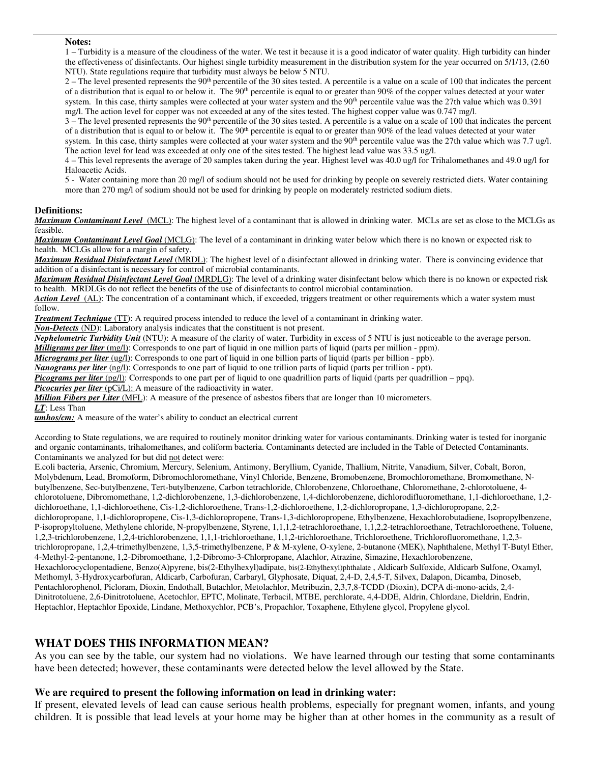#### **Notes:**

1 – Turbidity is a measure of the cloudiness of the water. We test it because it is a good indicator of water quality. High turbidity can hinder the effectiveness of disinfectants. Our highest single turbidity measurement in the distribution system for the year occurred on 5/1/13, (2.60 NTU). State regulations require that turbidity must always be below 5 NTU.

 $2 -$  The level presented represents the 90<sup>th</sup> percentile of the 30 sites tested. A percentile is a value on a scale of 100 that indicates the percent of a distribution that is equal to or below it. The  $90<sup>th</sup>$  percentile is equal to or greater than  $90\%$  of the copper values detected at your water system. In this case, thirty samples were collected at your water system and the 90<sup>th</sup> percentile value was the 27th value which was 0.391 mg/l. The action level for copper was not exceeded at any of the sites tested. The highest copper value was 0.747 mg/l.

3 – The level presented represents the 90<sup>th</sup> percentile of the 30 sites tested. A percentile is a value on a scale of 100 that indicates the percent of a distribution that is equal to or below it. The 90<sup>th</sup> percentile is equal to or greater than 90% of the lead values detected at your water

system. In this case, thirty samples were collected at your water system and the 90<sup>th</sup> percentile value was the 27th value which was 7.7 ug/l. The action level for lead was exceeded at only one of the sites tested. The highest lead value was 33.5 ug/l.

4 – This level represents the average of 20 samples taken during the year. Highest level was 40.0 ug/l for Trihalomethanes and 49.0 ug/l for Haloacetic Acids.

5 - Water containing more than 20 mg/l of sodium should not be used for drinking by people on severely restricted diets. Water containing more than 270 mg/l of sodium should not be used for drinking by people on moderately restricted sodium diets.

#### **Definitions:**

*Maximum Contaminant Level* (MCL): The highest level of a contaminant that is allowed in drinking water. MCLs are set as close to the MCLGs as feasible.

*Maximum Contaminant Level Goal* (MCLG): The level of a contaminant in drinking water below which there is no known or expected risk to health. MCLGs allow for a margin of safety.

*Maximum Residual Disinfectant Level* (MRDL): The highest level of a disinfectant allowed in drinking water. There is convincing evidence that addition of a disinfectant is necessary for control of microbial contaminants.

*Maximum Residual Disinfectant Level Goal* (MRDLG): The level of a drinking water disinfectant below which there is no known or expected risk to health. MRDLGs do not reflect the benefits of the use of disinfectants to control microbial contamination.

*Action Level*(AL): The concentration of a contaminant which, if exceeded, triggers treatment or other requirements which a water system must follow.

*Treatment Technique* (TT): A required process intended to reduce the level of a contaminant in drinking water.

*Non-Detects* (ND): Laboratory analysis indicates that the constituent is not present.

*Nephelometric Turbidity Unit* (NTU): A measure of the clarity of water. Turbidity in excess of 5 NTU is just noticeable to the average person.

*Milligrams per liter* (mg/l): Corresponds to one part of liquid in one million parts of liquid (parts per million - ppm).

*Micrograms per liter* (ug/l): Corresponds to one part of liquid in one billion parts of liquid (parts per billion - ppb).

*Nanograms per liter* (ng/l): Corresponds to one part of liquid to one trillion parts of liquid (parts per trillion - ppt).

*Picograms per liter* (pg/l): Corresponds to one part per of liquid to one quadrillion parts of liquid (parts per quadrillion – ppq).

**Picocuries per liter** (pCi/L): A measure of the radioactivity in water.

*Million Fibers per Liter* (MFL): A measure of the presence of asbestos fibers that are longer than 10 micrometers.

*LT*: Less Than

*umhos/cm:* A measure of the water's ability to conduct an electrical current

According to State regulations, we are required to routinely monitor drinking water for various contaminants. Drinking water is tested for inorganic and organic contaminants, trihalomethanes, and coliform bacteria. Contaminants detected are included in the Table of Detected Contaminants. Contaminants we analyzed for but did not detect were:

E.coli bacteria, Arsenic, Chromium, Mercury, Selenium, Antimony, Beryllium, Cyanide, Thallium, Nitrite, Vanadium, Silver, Cobalt, Boron, Molybdenum, Lead, Bromoform, Dibromochloromethane, Vinyl Chloride, Benzene, Bromobenzene, Bromochloromethane, Bromomethane, Nbutylbenzene, Sec-butylbenzene, Tert-butylbenzene, Carbon tetrachloride, Chlorobenzene, Chloroethane, Chloromethane, 2-chlorotoluene, 4 chlorotoluene, Dibromomethane, 1,2-dichlorobenzene, 1,3-dichlorobenzene, 1,4-dichlorobenzene, dichlorodifluoromethane, 1,1-dichloroethane, 1,2 dichloroethane, 1,1-dichloroethene, Cis-1,2-dichloroethene, Trans-1,2-dichloroethene, 1,2-dichloropropane, 1,3-dichloropropane, 2,2 dichloropropane, 1,1-dichloropropene, Cis-1,3-dichloropropene, Trans-1,3-dichloropropene, Ethylbenzene, Hexachlorobutadiene, Isopropylbenzene, P-isopropyltoluene, Methylene chloride, N-propylbenzene, Styrene, 1,1,1,2-tetrachloroethane, 1,1,2,2-tetrachloroethane, Tetrachloroethene, Toluene, 1,2,3-trichlorobenzene, 1,2,4-trichlorobenzene, 1,1,1-trichloroethane, 1,1,2-trichloroethane, Trichloroethene, Trichlorofluoromethane, 1,2,3 trichloropropane, 1,2,4-trimethylbenzene, 1,3,5-trimethylbenzene, P & M-xylene, O-xylene, 2-butanone (MEK), Naphthalene, Methyl T-Butyl Ether, 4-Methyl-2-pentanone, 1,2-Dibromoethane, 1,2-Dibromo-3-Chlorpropane, Alachlor, Atrazine, Simazine, Hexachlorobenzene, Hexachlorocyclopentadiene, Benzo(A)pyrene, bis(2-Ethylhexyl)adipate, bis(2-Ethylhexyl)phthalate , Aldicarb Sulfoxide, Aldicarb Sulfone, Oxamyl, Methomyl, 3-Hydroxycarbofuran, Aldicarb, Carbofuran, Carbaryl, Glyphosate, Diquat, 2,4-D, 2,4,5-T, Silvex, Dalapon, Dicamba, Dinoseb, Pentachlorophenol, Picloram, Dioxin, Endothall, Butachlor, Metolachlor, Metribuzin, 2,3,7,8-TCDD (Dioxin), DCPA di-mono-acids, 2,4- Dinitrotoluene, 2,6-Dinitrotoluene, Acetochlor, EPTC, Molinate, Terbacil, MTBE, perchlorate, 4,4-DDE, Aldrin, Chlordane, Dieldrin, Endrin, Heptachlor, Heptachlor Epoxide, Lindane, Methoxychlor, PCB's, Propachlor, Toxaphene, Ethylene glycol, Propylene glycol.

### **WHAT DOES THIS INFORMATION MEAN?**

As you can see by the table, our system had no violations. We have learned through our testing that some contaminants have been detected; however, these contaminants were detected below the level allowed by the State.

#### **We are required to present the following information on lead in drinking water:**

If present, elevated levels of lead can cause serious health problems, especially for pregnant women, infants, and young children. It is possible that lead levels at your home may be higher than at other homes in the community as a result of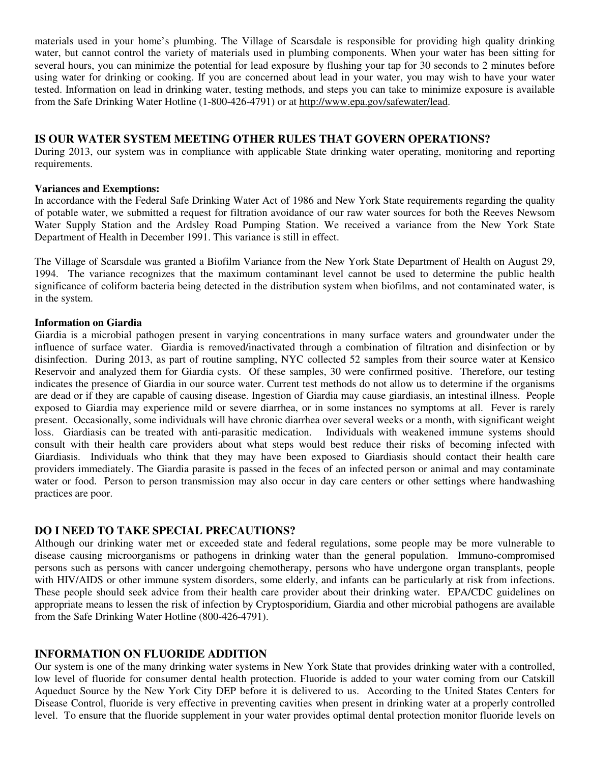materials used in your home's plumbing. The Village of Scarsdale is responsible for providing high quality drinking water, but cannot control the variety of materials used in plumbing components. When your water has been sitting for several hours, you can minimize the potential for lead exposure by flushing your tap for 30 seconds to 2 minutes before using water for drinking or cooking. If you are concerned about lead in your water, you may wish to have your water tested. Information on lead in drinking water, testing methods, and steps you can take to minimize exposure is available from the Safe Drinking Water Hotline (1-800-426-4791) or at http://www.epa.gov/safewater/lead.

## **IS OUR WATER SYSTEM MEETING OTHER RULES THAT GOVERN OPERATIONS?**

During 2013, our system was in compliance with applicable State drinking water operating, monitoring and reporting requirements.

## **Variances and Exemptions:**

In accordance with the Federal Safe Drinking Water Act of 1986 and New York State requirements regarding the quality of potable water, we submitted a request for filtration avoidance of our raw water sources for both the Reeves Newsom Water Supply Station and the Ardsley Road Pumping Station. We received a variance from the New York State Department of Health in December 1991. This variance is still in effect.

The Village of Scarsdale was granted a Biofilm Variance from the New York State Department of Health on August 29, 1994. The variance recognizes that the maximum contaminant level cannot be used to determine the public health significance of coliform bacteria being detected in the distribution system when biofilms, and not contaminated water, is in the system.

## **Information on Giardia**

Giardia is a microbial pathogen present in varying concentrations in many surface waters and groundwater under the influence of surface water. Giardia is removed/inactivated through a combination of filtration and disinfection or by disinfection. During 2013, as part of routine sampling, NYC collected 52 samples from their source water at Kensico Reservoir and analyzed them for Giardia cysts. Of these samples, 30 were confirmed positive. Therefore, our testing indicates the presence of Giardia in our source water. Current test methods do not allow us to determine if the organisms are dead or if they are capable of causing disease. Ingestion of Giardia may cause giardiasis, an intestinal illness. People exposed to Giardia may experience mild or severe diarrhea, or in some instances no symptoms at all. Fever is rarely present. Occasionally, some individuals will have chronic diarrhea over several weeks or a month, with significant weight loss. Giardiasis can be treated with anti-parasitic medication. Individuals with weakened immune systems should consult with their health care providers about what steps would best reduce their risks of becoming infected with Giardiasis. Individuals who think that they may have been exposed to Giardiasis should contact their health care providers immediately. The Giardia parasite is passed in the feces of an infected person or animal and may contaminate water or food. Person to person transmission may also occur in day care centers or other settings where handwashing practices are poor.

## **DO I NEED TO TAKE SPECIAL PRECAUTIONS?**

Although our drinking water met or exceeded state and federal regulations, some people may be more vulnerable to disease causing microorganisms or pathogens in drinking water than the general population. Immuno-compromised persons such as persons with cancer undergoing chemotherapy, persons who have undergone organ transplants, people with HIV/AIDS or other immune system disorders, some elderly, and infants can be particularly at risk from infections. These people should seek advice from their health care provider about their drinking water. EPA/CDC guidelines on appropriate means to lessen the risk of infection by Cryptosporidium, Giardia and other microbial pathogens are available from the Safe Drinking Water Hotline (800-426-4791).

## **INFORMATION ON FLUORIDE ADDITION**

Our system is one of the many drinking water systems in New York State that provides drinking water with a controlled, low level of fluoride for consumer dental health protection. Fluoride is added to your water coming from our Catskill Aqueduct Source by the New York City DEP before it is delivered to us. According to the United States Centers for Disease Control, fluoride is very effective in preventing cavities when present in drinking water at a properly controlled level. To ensure that the fluoride supplement in your water provides optimal dental protection monitor fluoride levels on